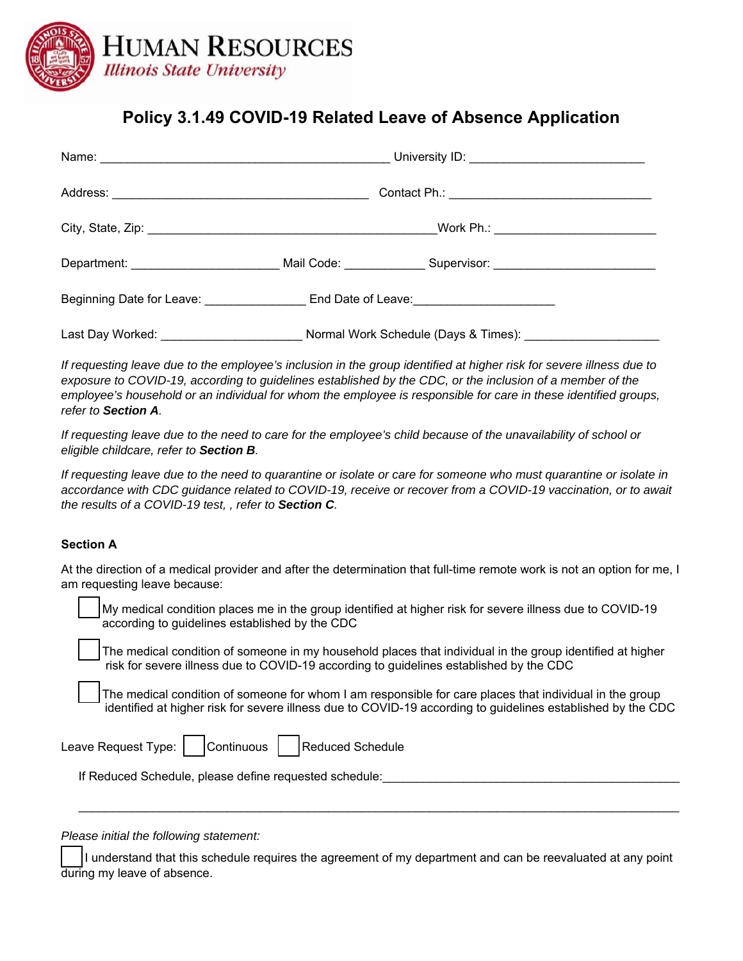

# **Policy 3.1.49 COVID-19 Related Leave of Absence Application**

|                                       | Beginning Date for Leave: _____________________End Date of Leave: _______________ |  |
|---------------------------------------|-----------------------------------------------------------------------------------|--|
| Last Day Worked: ____________________ | Normal Work Schedule (Days & Times): ___________                                  |  |

*If requesting leave due to the employee's inclusion in the group identified at higher risk for severe illness due to exposure to COVID-19, according to guidelines established by the CDC, or the inclusion of a member of the*  employee's household or an individual for whom the employee is responsible for care in these identified groups, *refer to Section A.* 

*If requesting leave due to the need to care for the employee's child because of the unavailability of school or eligible childcare, refer to Section B.* 

*If requesting leave due to the need to quarantine or isolate or care for someone who must quarantine or isolate in accordance with CDC guidance related to COVID-19, receive or recover from a COVID-19 vaccination, or to await the results of a COVID-19 test, , refer to Section C.* 

## **Section A**

At the direction of a medical provider and after the determination that full-time remote work is not an option for me, I am requesting leave because:

My medical condition places me in the group identified at higher risk for severe illness due to COVID-19 according to guidelines established by the CDC

The medical condition of someone in my household places that individual in the group identified at higher risk for severe illness due to COVID-19 according to guidelines established by the CDC

The medical condition of someone for whom I am responsible for care places that individual in the group identified at higher risk for severe illness due to COVID-19 according to guidelines established by the CDC

Leave Request Type: | | Continuous | | Reduced Schedule

If Reduced Schedule, please define requested schedule:

*Please initial the following statement:* 

I understand that this schedule requires the agreement of my department and can be reevaluated at any point during my leave of absence.

 $\mathcal{L}_\mathcal{L} = \mathcal{L}_\mathcal{L} = \mathcal{L}_\mathcal{L} = \mathcal{L}_\mathcal{L} = \mathcal{L}_\mathcal{L} = \mathcal{L}_\mathcal{L} = \mathcal{L}_\mathcal{L} = \mathcal{L}_\mathcal{L} = \mathcal{L}_\mathcal{L} = \mathcal{L}_\mathcal{L} = \mathcal{L}_\mathcal{L} = \mathcal{L}_\mathcal{L} = \mathcal{L}_\mathcal{L} = \mathcal{L}_\mathcal{L} = \mathcal{L}_\mathcal{L} = \mathcal{L}_\mathcal{L} = \mathcal{L}_\mathcal{L}$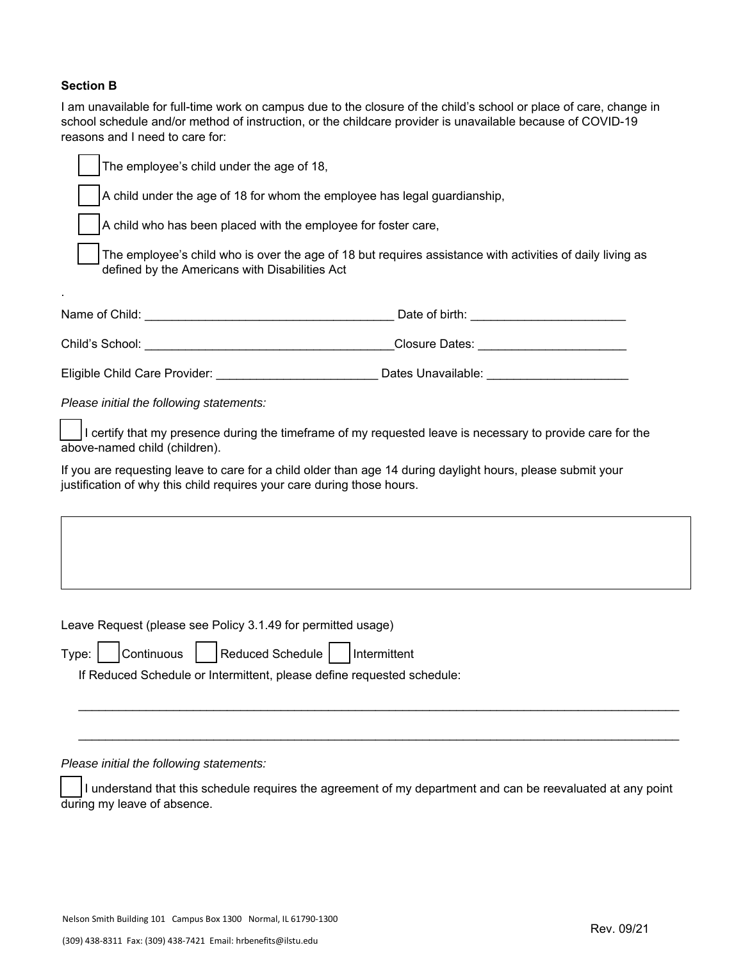### **Section B**

I am unavailable for full-time work on campus due to the closure of the child's school or place of care, change in school schedule and/or method of instruction, or the childcare provider is unavailable because of COVID-19 reasons and I need to care for:

The employee's child under the age of 18, A child under the age of 18 for whom the employee has legal guardianship, A child who has been placed with the employee for foster care, The employee's child who is over the age of 18 but requires assistance with activities of daily living as defined by the Americans with Disabilities Act . Name of Child: etc. and the contract of the contract of birth: etc. and the contract of birth:  $\Box$ Child's School: \_\_\_\_\_\_\_\_\_\_\_\_\_\_\_\_\_\_\_\_\_\_\_\_\_\_\_\_\_\_\_\_\_\_\_\_\_Closure Dates: \_\_\_\_\_\_\_\_\_\_\_\_\_\_\_\_\_\_\_\_\_\_ Eligible Child Care Provider: \_\_\_\_\_\_\_\_\_\_\_\_\_\_\_\_\_\_\_\_\_\_\_\_\_\_ Dates Unavailable: \_\_\_\_\_\_\_\_\_\_\_\_\_\_\_\_\_\_\_\_\_\_\_\_

*Please initial the following statements:* 

\_\_\_ I certify that my presence during the timeframe of my requested leave is necessary to provide care for the above-named child (children).

If you are requesting leave to care for a child older than age 14 during daylight hours, please submit your justification of why this child requires your care during those hours.

Leave Request (please see Policy 3.1.49 for permitted usage)

|  | Type: Continuous Reduced Schedule   Intermittent                       |  |
|--|------------------------------------------------------------------------|--|
|  | If Reduced Schedule or Intermittent, please define requested schedule: |  |

*Please initial the following statements:* 

I understand that this schedule requires the agreement of my department and can be reevaluated at any point during my leave of absence.

\_\_\_\_\_\_\_\_\_\_\_\_\_\_\_\_\_\_\_\_\_\_\_\_\_\_\_\_\_\_\_\_\_\_\_\_\_\_\_\_\_\_\_\_\_\_\_\_\_\_\_\_\_\_\_\_\_\_\_\_\_\_\_\_\_\_\_\_\_\_\_\_\_\_\_\_\_\_\_\_\_\_\_\_\_\_\_\_\_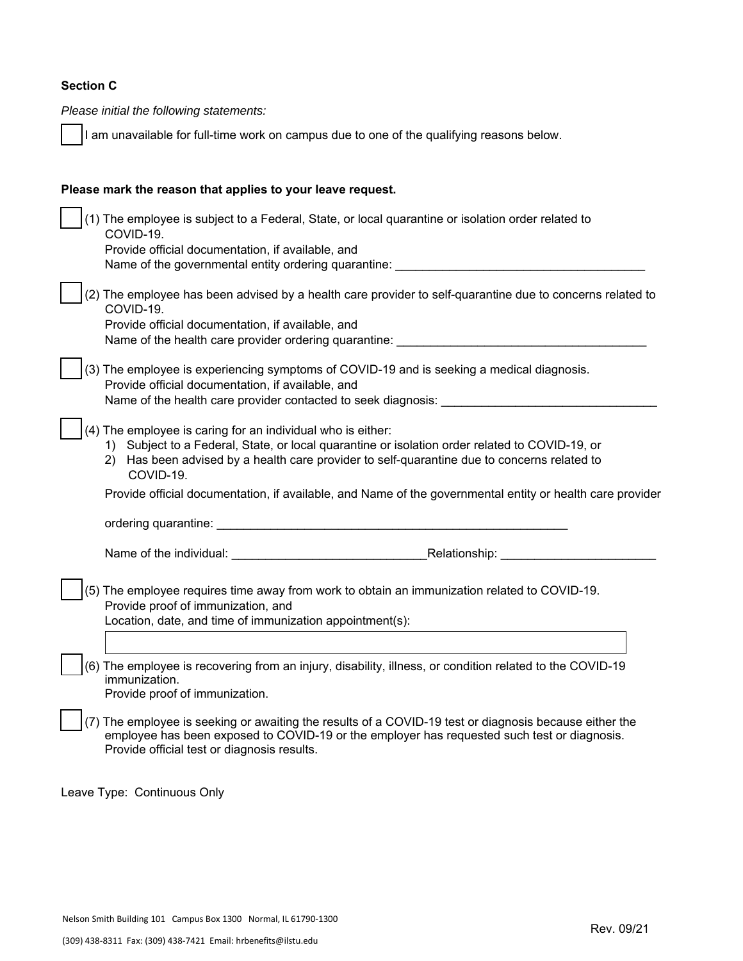## **Section C**

*Please initial the following statements:*

I am unavailable for full-time work on campus due to one of the qualifying reasons below.

| Please mark the reason that applies to your leave request.                                                                                                                                                                                                                    |
|-------------------------------------------------------------------------------------------------------------------------------------------------------------------------------------------------------------------------------------------------------------------------------|
| (1) The employee is subject to a Federal, State, or local quarantine or isolation order related to<br>COVID-19.<br>Provide official documentation, if available, and<br>Name of the governmental entity ordering quarantine:                                                  |
| (2) The employee has been advised by a health care provider to self-quarantine due to concerns related to<br>COVID-19.<br>Provide official documentation, if available, and<br>Name of the health care provider ordering quarantine:                                          |
| (3) The employee is experiencing symptoms of COVID-19 and is seeking a medical diagnosis.<br>Provide official documentation, if available, and<br>Name of the health care provider contacted to seek diagnosis:                                                               |
| (4) The employee is caring for an individual who is either:<br>1) Subject to a Federal, State, or local quarantine or isolation order related to COVID-19, or<br>Has been advised by a health care provider to self-quarantine due to concerns related to<br>2).<br>COVID-19. |
| Provide official documentation, if available, and Name of the governmental entity or health care provider                                                                                                                                                                     |
| ordering quarantine:                                                                                                                                                                                                                                                          |
| Name of the individual: Name of the individual:                                                                                                                                                                                                                               |
| (5) The employee requires time away from work to obtain an immunization related to COVID-19.<br>Provide proof of immunization, and<br>Location, date, and time of immunization appointment(s):                                                                                |
| (6) The employee is recovering from an injury, disability, illness, or condition related to the COVID-19<br>immunization.<br>Provide proof of immunization.                                                                                                                   |
| (7) The employee is seeking or awaiting the results of a COVID-19 test or diagnosis because either the<br>employee has been exposed to COVID-19 or the employer has requested such test or diagnosis.<br>Provide official test or diagnosis results.                          |

Leave Type: Continuous Only